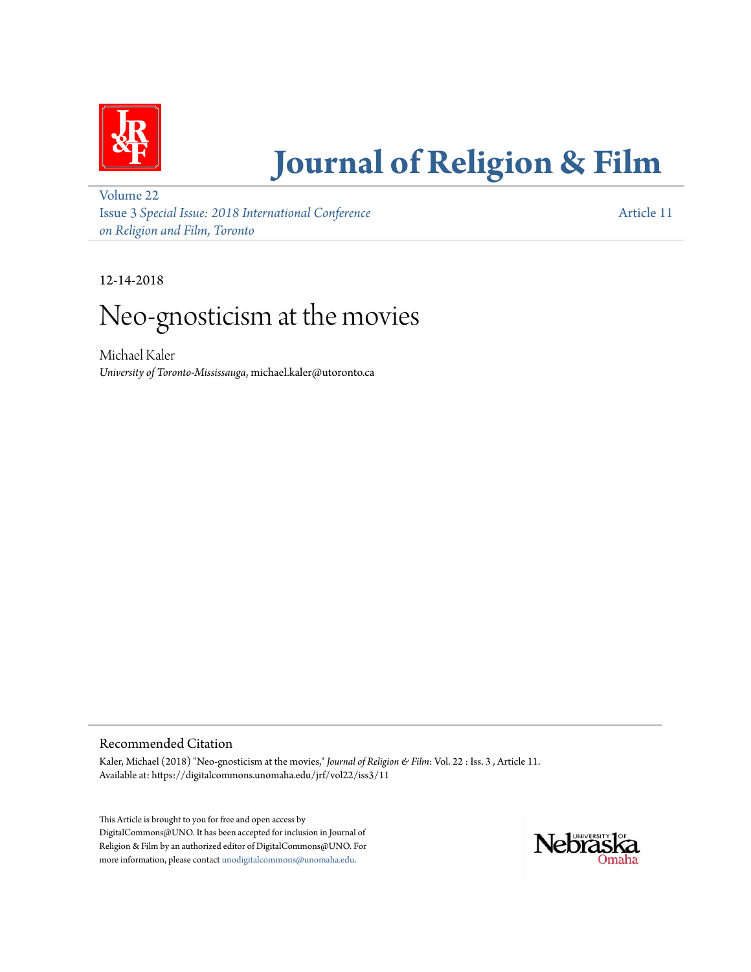

# **[Journal of Religion & Film](https://digitalcommons.unomaha.edu/jrf)**

[Volume 22](https://digitalcommons.unomaha.edu/jrf/vol22) Issue 3 *[Special Issue: 2018 International Conference](https://digitalcommons.unomaha.edu/jrf/vol22/iss3) [on Religion and Film, Toronto](https://digitalcommons.unomaha.edu/jrf/vol22/iss3)*

[Article 11](https://digitalcommons.unomaha.edu/jrf/vol22/iss3/11)

12-14-2018

## Neo-gnosticism at the movies

Michael Kaler *University of Toronto-Mississauga*, michael.kaler@utoronto.ca

#### Recommended Citation

Kaler, Michael (2018) "Neo-gnosticism at the movies," *Journal of Religion & Film*: Vol. 22 : Iss. 3 , Article 11. Available at: https://digitalcommons.unomaha.edu/jrf/vol22/iss3/11

This Article is brought to you for free and open access by DigitalCommons@UNO. It has been accepted for inclusion in Journal of Religion & Film by an authorized editor of DigitalCommons@UNO. For more information, please contact [unodigitalcommons@unomaha.edu](mailto:unodigitalcommons@unomaha.edu).

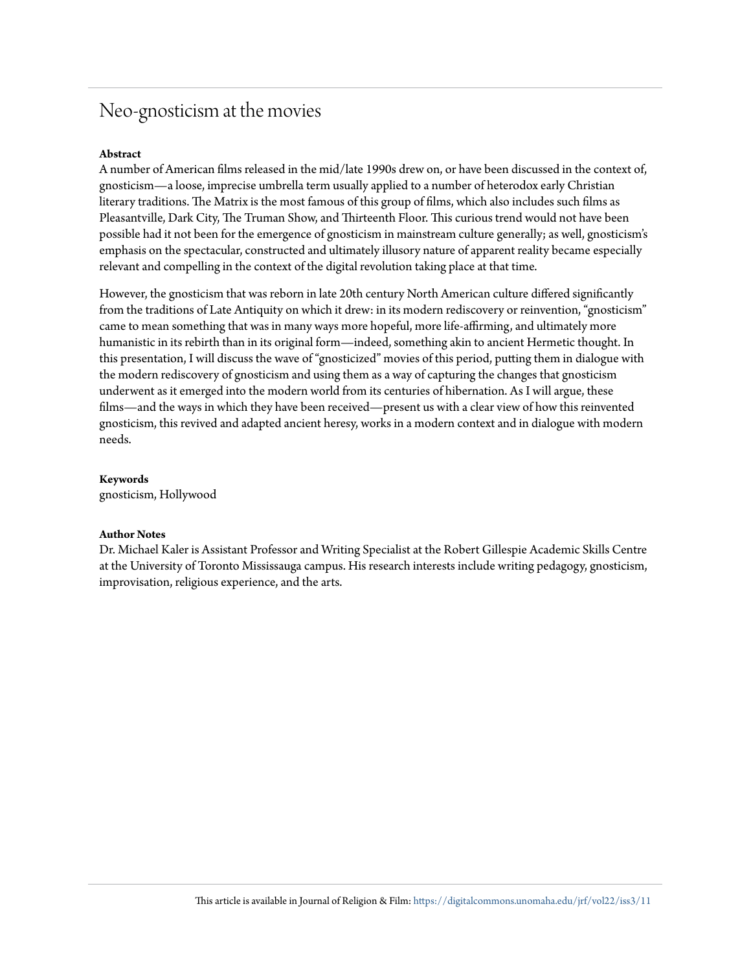### Neo-gnosticism at the movies

#### **Abstract**

A number of American films released in the mid/late 1990s drew on, or have been discussed in the context of, gnosticism—a loose, imprecise umbrella term usually applied to a number of heterodox early Christian literary traditions. The Matrix is the most famous of this group of films, which also includes such films as Pleasantville, Dark City, The Truman Show, and Thirteenth Floor. This curious trend would not have been possible had it not been for the emergence of gnosticism in mainstream culture generally; as well, gnosticism's emphasis on the spectacular, constructed and ultimately illusory nature of apparent reality became especially relevant and compelling in the context of the digital revolution taking place at that time.

However, the gnosticism that was reborn in late 20th century North American culture differed significantly from the traditions of Late Antiquity on which it drew: in its modern rediscovery or reinvention, "gnosticism" came to mean something that was in many ways more hopeful, more life-affirming, and ultimately more humanistic in its rebirth than in its original form—indeed, something akin to ancient Hermetic thought. In this presentation, I will discuss the wave of "gnosticized" movies of this period, putting them in dialogue with the modern rediscovery of gnosticism and using them as a way of capturing the changes that gnosticism underwent as it emerged into the modern world from its centuries of hibernation. As I will argue, these films—and the ways in which they have been received—present us with a clear view of how this reinvented gnosticism, this revived and adapted ancient heresy, works in a modern context and in dialogue with modern needs.

**Keywords** gnosticism, Hollywood

#### **Author Notes**

Dr. Michael Kaler is Assistant Professor and Writing Specialist at the Robert Gillespie Academic Skills Centre at the University of Toronto Mississauga campus. His research interests include writing pedagogy, gnosticism, improvisation, religious experience, and the arts.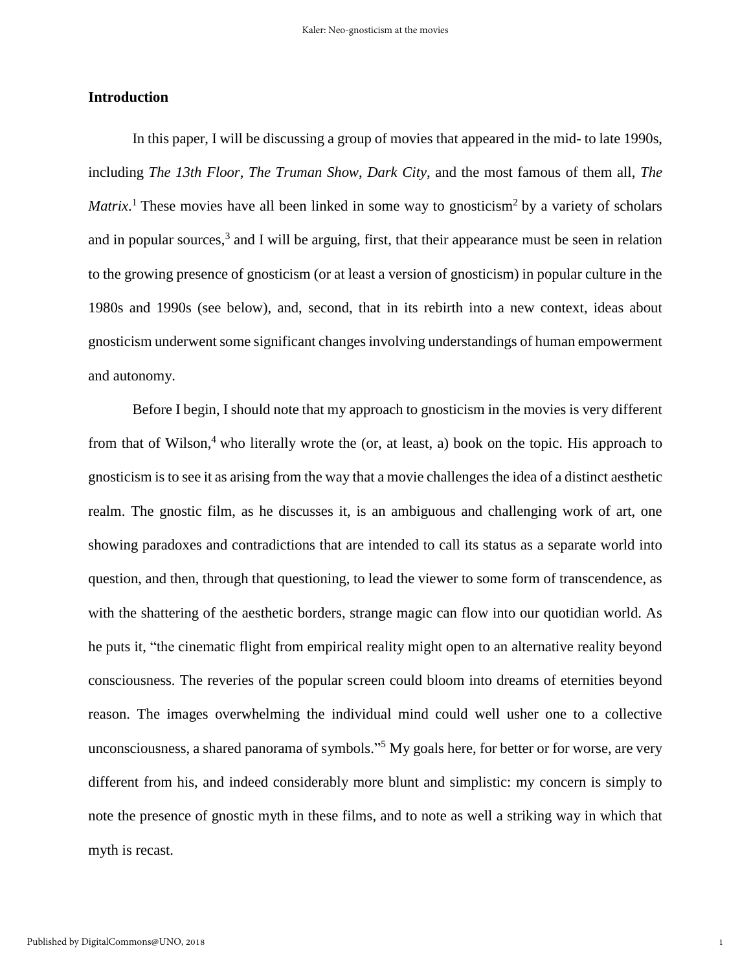#### **Introduction**

In this paper, I will be discussing a group of movies that appeared in the mid- to late 1990s, including *The 13th Floor*, *The Truman Show*, *Dark City*, and the most famous of them all, *The Matrix*.<sup>1</sup> These movies have all been linked in some way to gnosticism<sup>2</sup> by a variety of scholars and in popular sources,<sup>3</sup> and I will be arguing, first, that their appearance must be seen in relation to the growing presence of gnosticism (or at least a version of gnosticism) in popular culture in the 1980s and 1990s (see below), and, second, that in its rebirth into a new context, ideas about gnosticism underwent some significant changes involving understandings of human empowerment and autonomy.

Before I begin, I should note that my approach to gnosticism in the movies is very different from that of Wilson,<sup>4</sup> who literally wrote the (or, at least, a) book on the topic. His approach to gnosticism is to see it as arising from the way that a movie challenges the idea of a distinct aesthetic realm. The gnostic film, as he discusses it, is an ambiguous and challenging work of art, one showing paradoxes and contradictions that are intended to call its status as a separate world into question, and then, through that questioning, to lead the viewer to some form of transcendence, as with the shattering of the aesthetic borders, strange magic can flow into our quotidian world. As he puts it, "the cinematic flight from empirical reality might open to an alternative reality beyond consciousness. The reveries of the popular screen could bloom into dreams of eternities beyond reason. The images overwhelming the individual mind could well usher one to a collective unconsciousness, a shared panorama of symbols." <sup>5</sup> My goals here, for better or for worse, are very different from his, and indeed considerably more blunt and simplistic: my concern is simply to note the presence of gnostic myth in these films, and to note as well a striking way in which that myth is recast.

1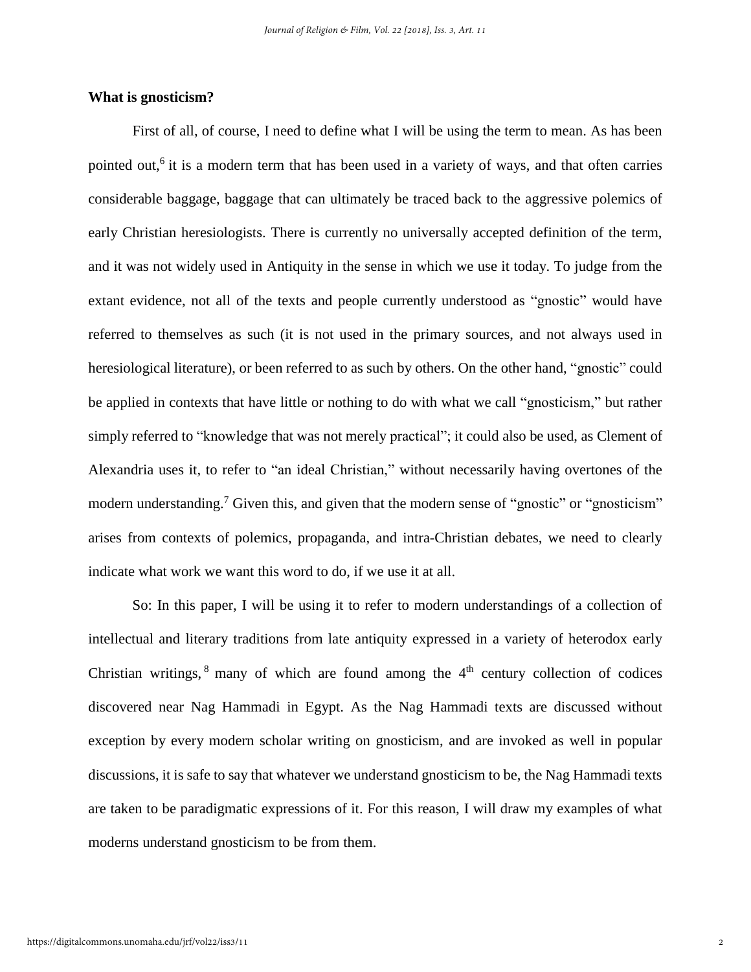#### **What is gnosticism?**

First of all, of course, I need to define what I will be using the term to mean. As has been pointed out,<sup>6</sup> it is a modern term that has been used in a variety of ways, and that often carries considerable baggage, baggage that can ultimately be traced back to the aggressive polemics of early Christian heresiologists. There is currently no universally accepted definition of the term, and it was not widely used in Antiquity in the sense in which we use it today. To judge from the extant evidence, not all of the texts and people currently understood as "gnostic" would have referred to themselves as such (it is not used in the primary sources, and not always used in heresiological literature), or been referred to as such by others. On the other hand, "gnostic" could be applied in contexts that have little or nothing to do with what we call "gnosticism," but rather simply referred to "knowledge that was not merely practical"; it could also be used, as Clement of Alexandria uses it, to refer to "an ideal Christian," without necessarily having overtones of the modern understanding.<sup>7</sup> Given this, and given that the modern sense of "gnostic" or "gnosticism" arises from contexts of polemics, propaganda, and intra-Christian debates, we need to clearly indicate what work we want this word to do, if we use it at all.

So: In this paper, I will be using it to refer to modern understandings of a collection of intellectual and literary traditions from late antiquity expressed in a variety of heterodox early Christian writings,  $8$  many of which are found among the  $4<sup>th</sup>$  century collection of codices discovered near Nag Hammadi in Egypt. As the Nag Hammadi texts are discussed without exception by every modern scholar writing on gnosticism, and are invoked as well in popular discussions, it is safe to say that whatever we understand gnosticism to be, the Nag Hammadi texts are taken to be paradigmatic expressions of it. For this reason, I will draw my examples of what moderns understand gnosticism to be from them.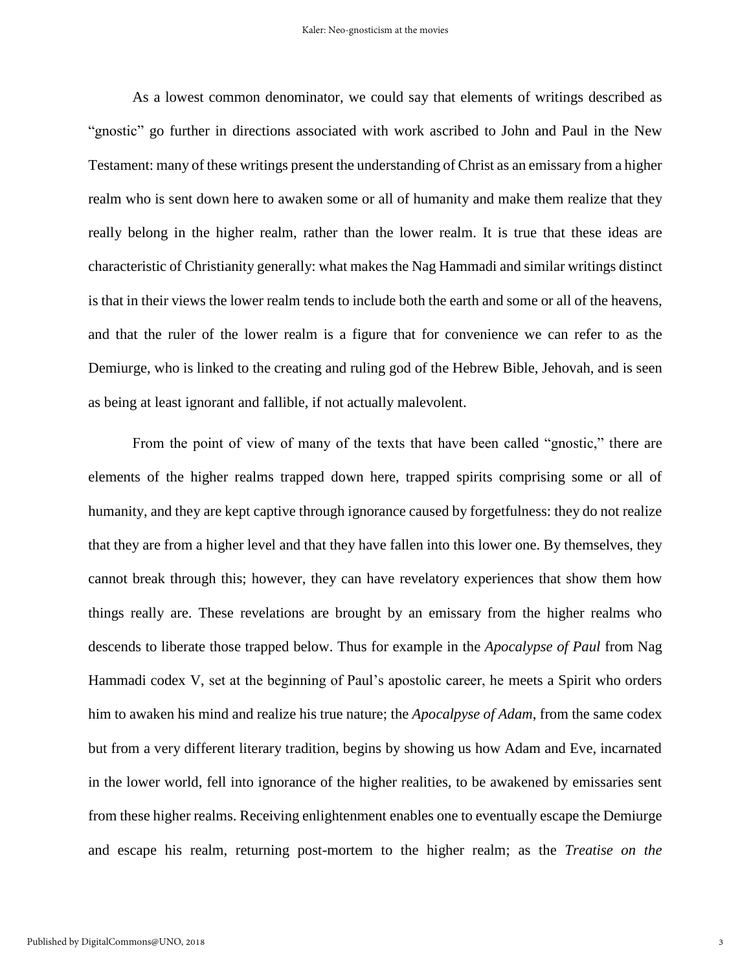As a lowest common denominator, we could say that elements of writings described as "gnostic" go further in directions associated with work ascribed to John and Paul in the New Testament: many of these writings present the understanding of Christ as an emissary from a higher realm who is sent down here to awaken some or all of humanity and make them realize that they really belong in the higher realm, rather than the lower realm. It is true that these ideas are characteristic of Christianity generally: what makes the Nag Hammadi and similar writings distinct is that in their views the lower realm tends to include both the earth and some or all of the heavens, and that the ruler of the lower realm is a figure that for convenience we can refer to as the Demiurge, who is linked to the creating and ruling god of the Hebrew Bible, Jehovah, and is seen as being at least ignorant and fallible, if not actually malevolent.

From the point of view of many of the texts that have been called "gnostic," there are elements of the higher realms trapped down here, trapped spirits comprising some or all of humanity, and they are kept captive through ignorance caused by forgetfulness: they do not realize that they are from a higher level and that they have fallen into this lower one. By themselves, they cannot break through this; however, they can have revelatory experiences that show them how things really are. These revelations are brought by an emissary from the higher realms who descends to liberate those trapped below. Thus for example in the *Apocalypse of Paul* from Nag Hammadi codex V, set at the beginning of Paul's apostolic career, he meets a Spirit who orders him to awaken his mind and realize his true nature; the *Apocalpyse of Adam*, from the same codex but from a very different literary tradition, begins by showing us how Adam and Eve, incarnated in the lower world, fell into ignorance of the higher realities, to be awakened by emissaries sent from these higher realms. Receiving enlightenment enables one to eventually escape the Demiurge and escape his realm, returning post-mortem to the higher realm; as the *Treatise on the*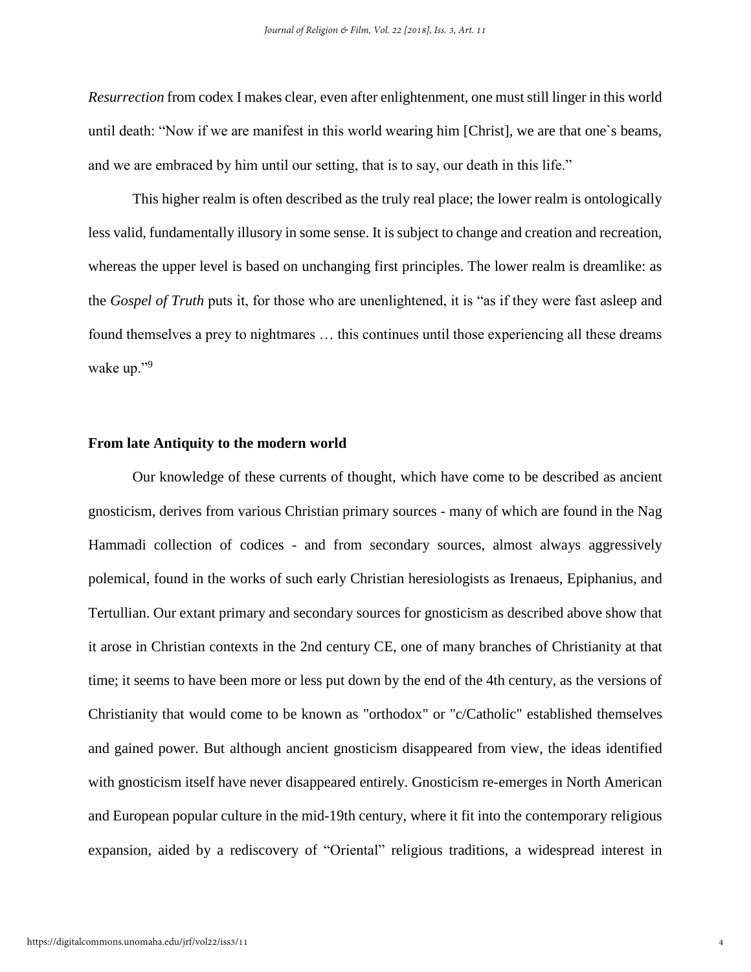*Resurrection* from codex I makes clear, even after enlightenment, one must still linger in this world until death: "Now if we are manifest in this world wearing him [Christ], we are that one`s beams, and we are embraced by him until our setting, that is to say, our death in this life."

This higher realm is often described as the truly real place; the lower realm is ontologically less valid, fundamentally illusory in some sense. It is subject to change and creation and recreation, whereas the upper level is based on unchanging first principles. The lower realm is dreamlike: as the *Gospel of Truth* puts it, for those who are unenlightened, it is "as if they were fast asleep and found themselves a prey to nightmares … this continues until those experiencing all these dreams wake up."<sup>9</sup>

#### **From late Antiquity to the modern world**

Our knowledge of these currents of thought, which have come to be described as ancient gnosticism, derives from various Christian primary sources - many of which are found in the Nag Hammadi collection of codices - and from secondary sources, almost always aggressively polemical, found in the works of such early Christian heresiologists as Irenaeus, Epiphanius, and Tertullian. Our extant primary and secondary sources for gnosticism as described above show that it arose in Christian contexts in the 2nd century CE, one of many branches of Christianity at that time; it seems to have been more or less put down by the end of the 4th century, as the versions of Christianity that would come to be known as "orthodox" or "c/Catholic" established themselves and gained power. But although ancient gnosticism disappeared from view, the ideas identified with gnosticism itself have never disappeared entirely. Gnosticism re-emerges in North American and European popular culture in the mid-19th century, where it fit into the contemporary religious expansion, aided by a rediscovery of "Oriental" religious traditions, a widespread interest in

4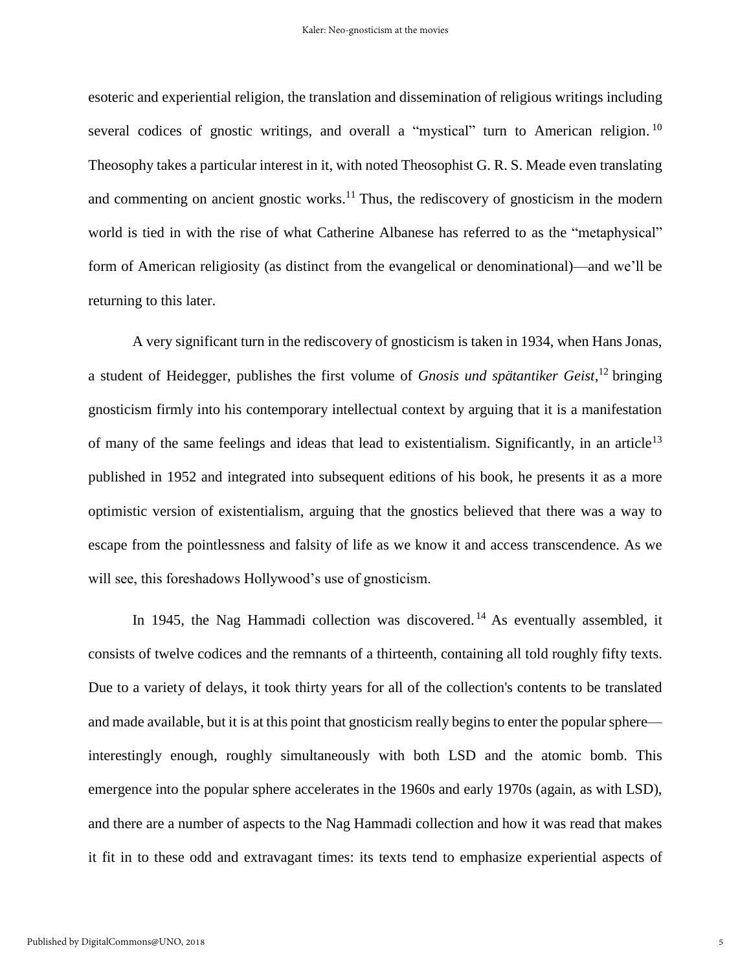esoteric and experiential religion, the translation and dissemination of religious writings including several codices of gnostic writings, and overall a "mystical" turn to American religion.<sup>10</sup> Theosophy takes a particular interest in it, with noted Theosophist G. R. S. Meade even translating and commenting on ancient gnostic works. $^{11}$  Thus, the rediscovery of gnosticism in the modern world is tied in with the rise of what Catherine Albanese has referred to as the "metaphysical" form of American religiosity (as distinct from the evangelical or denominational)—and we'll be returning to this later.

A very significant turn in the rediscovery of gnosticism is taken in 1934, when Hans Jonas, a student of Heidegger, publishes the first volume of *Gnosis und spätantiker Geist*, <sup>12</sup> bringing gnosticism firmly into his contemporary intellectual context by arguing that it is a manifestation of many of the same feelings and ideas that lead to existentialism. Significantly, in an article<sup>13</sup> published in 1952 and integrated into subsequent editions of his book, he presents it as a more optimistic version of existentialism, arguing that the gnostics believed that there was a way to escape from the pointlessness and falsity of life as we know it and access transcendence. As we will see, this foreshadows Hollywood's use of gnosticism.

In 1945, the Nag Hammadi collection was discovered.<sup>14</sup> As eventually assembled, it consists of twelve codices and the remnants of a thirteenth, containing all told roughly fifty texts. Due to a variety of delays, it took thirty years for all of the collection's contents to be translated and made available, but it is at this point that gnosticism really begins to enter the popular sphere interestingly enough, roughly simultaneously with both LSD and the atomic bomb. This emergence into the popular sphere accelerates in the 1960s and early 1970s (again, as with LSD), and there are a number of aspects to the Nag Hammadi collection and how it was read that makes it fit in to these odd and extravagant times: its texts tend to emphasize experiential aspects of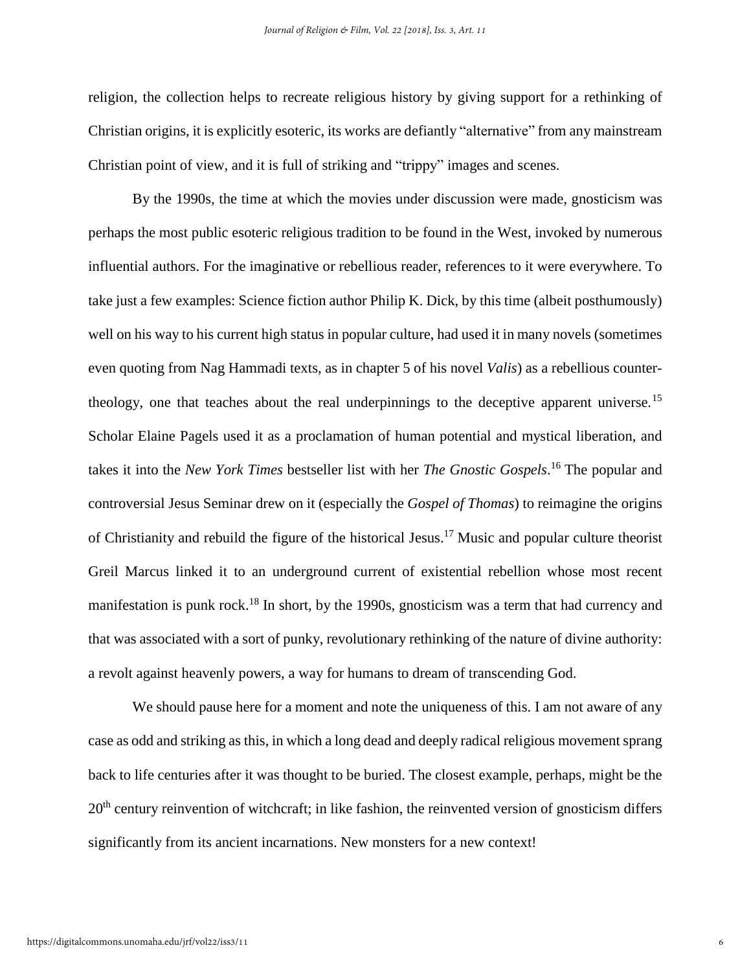religion, the collection helps to recreate religious history by giving support for a rethinking of Christian origins, it is explicitly esoteric, its works are defiantly "alternative" from any mainstream Christian point of view, and it is full of striking and "trippy" images and scenes.

By the 1990s, the time at which the movies under discussion were made, gnosticism was perhaps the most public esoteric religious tradition to be found in the West, invoked by numerous influential authors. For the imaginative or rebellious reader, references to it were everywhere. To take just a few examples: Science fiction author Philip K. Dick, by this time (albeit posthumously) well on his way to his current high status in popular culture, had used it in many novels (sometimes even quoting from Nag Hammadi texts, as in chapter 5 of his novel *Valis*) as a rebellious countertheology, one that teaches about the real underpinnings to the deceptive apparent universe.<sup>15</sup> Scholar Elaine Pagels used it as a proclamation of human potential and mystical liberation, and takes it into the *New York Times* bestseller list with her *The Gnostic Gospels*. <sup>16</sup> The popular and controversial Jesus Seminar drew on it (especially the *Gospel of Thomas*) to reimagine the origins of Christianity and rebuild the figure of the historical Jesus.<sup>17</sup> Music and popular culture theorist Greil Marcus linked it to an underground current of existential rebellion whose most recent manifestation is punk rock.<sup>18</sup> In short, by the 1990s, gnosticism was a term that had currency and that was associated with a sort of punky, revolutionary rethinking of the nature of divine authority: a revolt against heavenly powers, a way for humans to dream of transcending God.

We should pause here for a moment and note the uniqueness of this. I am not aware of any case as odd and striking as this, in which a long dead and deeply radical religious movement sprang back to life centuries after it was thought to be buried. The closest example, perhaps, might be the 20<sup>th</sup> century reinvention of witchcraft; in like fashion, the reinvented version of gnosticism differs significantly from its ancient incarnations. New monsters for a new context!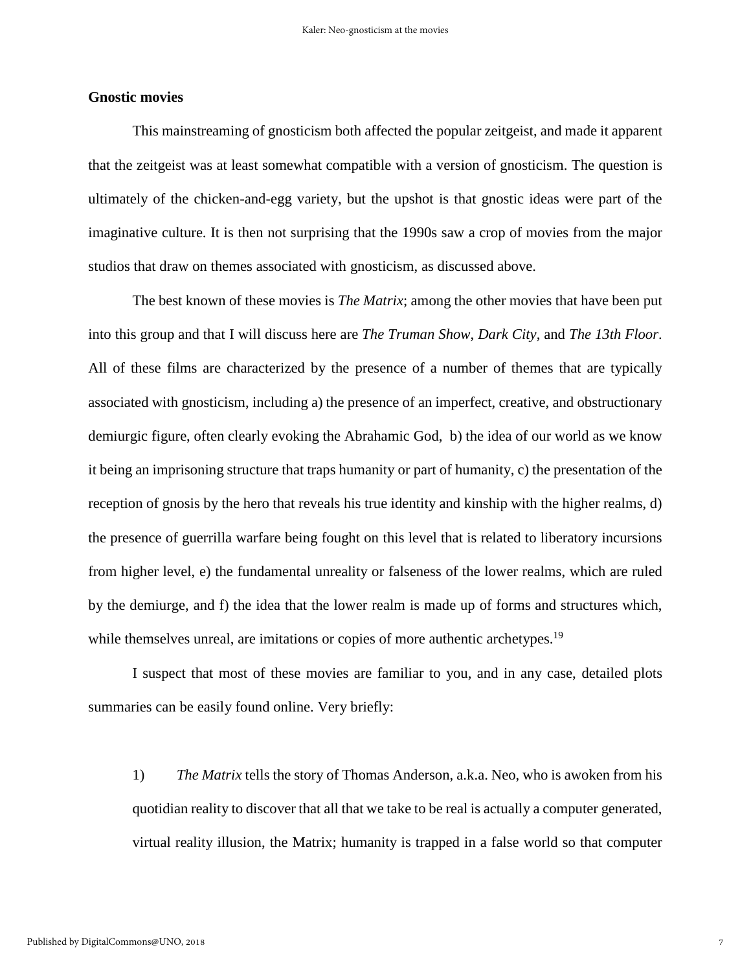#### **Gnostic movies**

This mainstreaming of gnosticism both affected the popular zeitgeist, and made it apparent that the zeitgeist was at least somewhat compatible with a version of gnosticism. The question is ultimately of the chicken-and-egg variety, but the upshot is that gnostic ideas were part of the imaginative culture. It is then not surprising that the 1990s saw a crop of movies from the major studios that draw on themes associated with gnosticism, as discussed above.

The best known of these movies is *The Matrix*; among the other movies that have been put into this group and that I will discuss here are *The Truman Show*, *Dark City*, and *The 13th Floor*. All of these films are characterized by the presence of a number of themes that are typically associated with gnosticism, including a) the presence of an imperfect, creative, and obstructionary demiurgic figure, often clearly evoking the Abrahamic God, b) the idea of our world as we know it being an imprisoning structure that traps humanity or part of humanity, c) the presentation of the reception of gnosis by the hero that reveals his true identity and kinship with the higher realms, d) the presence of guerrilla warfare being fought on this level that is related to liberatory incursions from higher level, e) the fundamental unreality or falseness of the lower realms, which are ruled by the demiurge, and f) the idea that the lower realm is made up of forms and structures which, while themselves unreal, are imitations or copies of more authentic archetypes.<sup>19</sup>

I suspect that most of these movies are familiar to you, and in any case, detailed plots summaries can be easily found online. Very briefly:

1) *The Matrix* tells the story of Thomas Anderson, a.k.a. Neo, who is awoken from his quotidian reality to discover that all that we take to be real is actually a computer generated, virtual reality illusion, the Matrix; humanity is trapped in a false world so that computer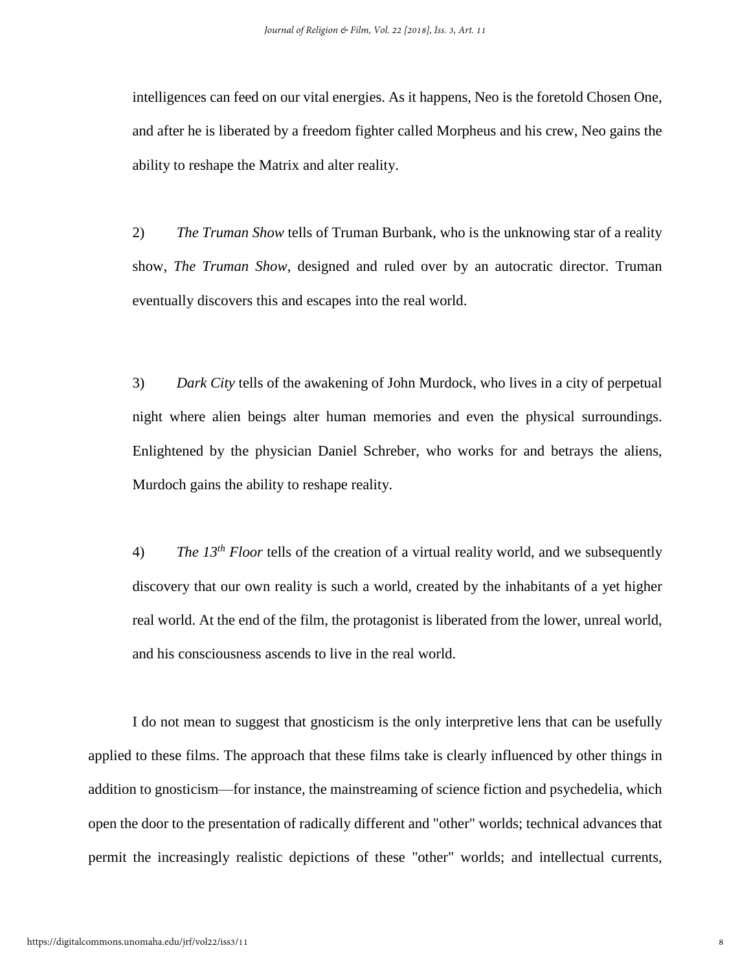intelligences can feed on our vital energies. As it happens, Neo is the foretold Chosen One, and after he is liberated by a freedom fighter called Morpheus and his crew, Neo gains the ability to reshape the Matrix and alter reality.

2) *The Truman Show* tells of Truman Burbank, who is the unknowing star of a reality show, *The Truman Show*, designed and ruled over by an autocratic director. Truman eventually discovers this and escapes into the real world.

3) *Dark City* tells of the awakening of John Murdock, who lives in a city of perpetual night where alien beings alter human memories and even the physical surroundings. Enlightened by the physician Daniel Schreber, who works for and betrays the aliens, Murdoch gains the ability to reshape reality.

4) *The 13th Floor* tells of the creation of a virtual reality world, and we subsequently discovery that our own reality is such a world, created by the inhabitants of a yet higher real world. At the end of the film, the protagonist is liberated from the lower, unreal world, and his consciousness ascends to live in the real world.

I do not mean to suggest that gnosticism is the only interpretive lens that can be usefully applied to these films. The approach that these films take is clearly influenced by other things in addition to gnosticism—for instance, the mainstreaming of science fiction and psychedelia, which open the door to the presentation of radically different and "other" worlds; technical advances that permit the increasingly realistic depictions of these "other" worlds; and intellectual currents,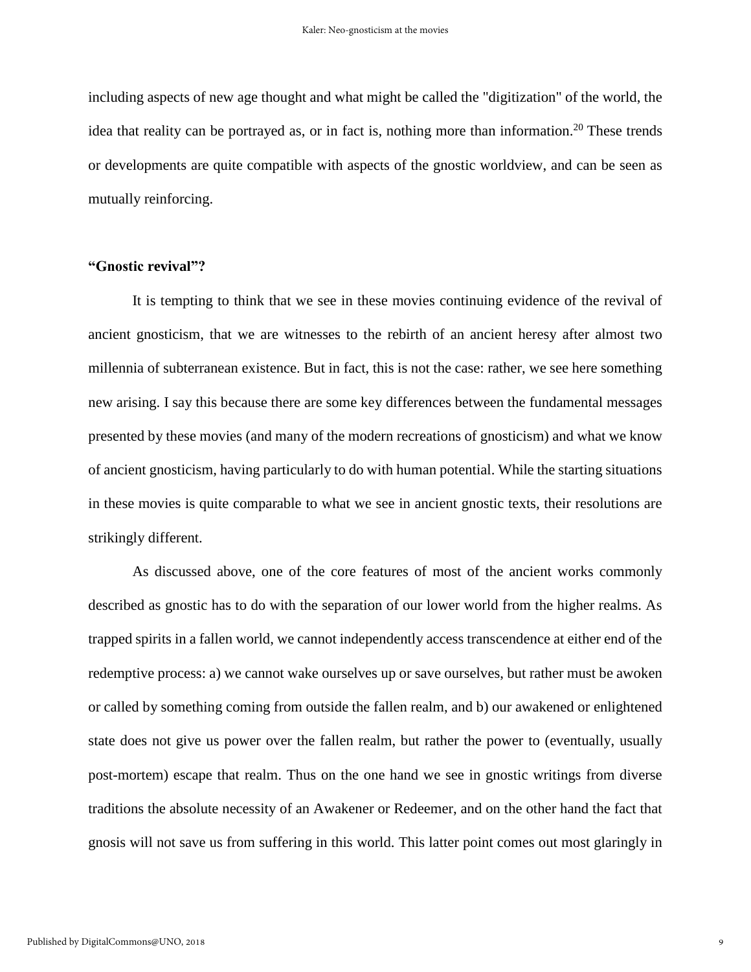including aspects of new age thought and what might be called the "digitization" of the world, the idea that reality can be portrayed as, or in fact is, nothing more than information.<sup>20</sup> These trends or developments are quite compatible with aspects of the gnostic worldview, and can be seen as mutually reinforcing.

#### **"Gnostic revival"?**

It is tempting to think that we see in these movies continuing evidence of the revival of ancient gnosticism, that we are witnesses to the rebirth of an ancient heresy after almost two millennia of subterranean existence. But in fact, this is not the case: rather, we see here something new arising. I say this because there are some key differences between the fundamental messages presented by these movies (and many of the modern recreations of gnosticism) and what we know of ancient gnosticism, having particularly to do with human potential. While the starting situations in these movies is quite comparable to what we see in ancient gnostic texts, their resolutions are strikingly different.

As discussed above, one of the core features of most of the ancient works commonly described as gnostic has to do with the separation of our lower world from the higher realms. As trapped spirits in a fallen world, we cannot independently access transcendence at either end of the redemptive process: a) we cannot wake ourselves up or save ourselves, but rather must be awoken or called by something coming from outside the fallen realm, and b) our awakened or enlightened state does not give us power over the fallen realm, but rather the power to (eventually, usually post-mortem) escape that realm. Thus on the one hand we see in gnostic writings from diverse traditions the absolute necessity of an Awakener or Redeemer, and on the other hand the fact that gnosis will not save us from suffering in this world. This latter point comes out most glaringly in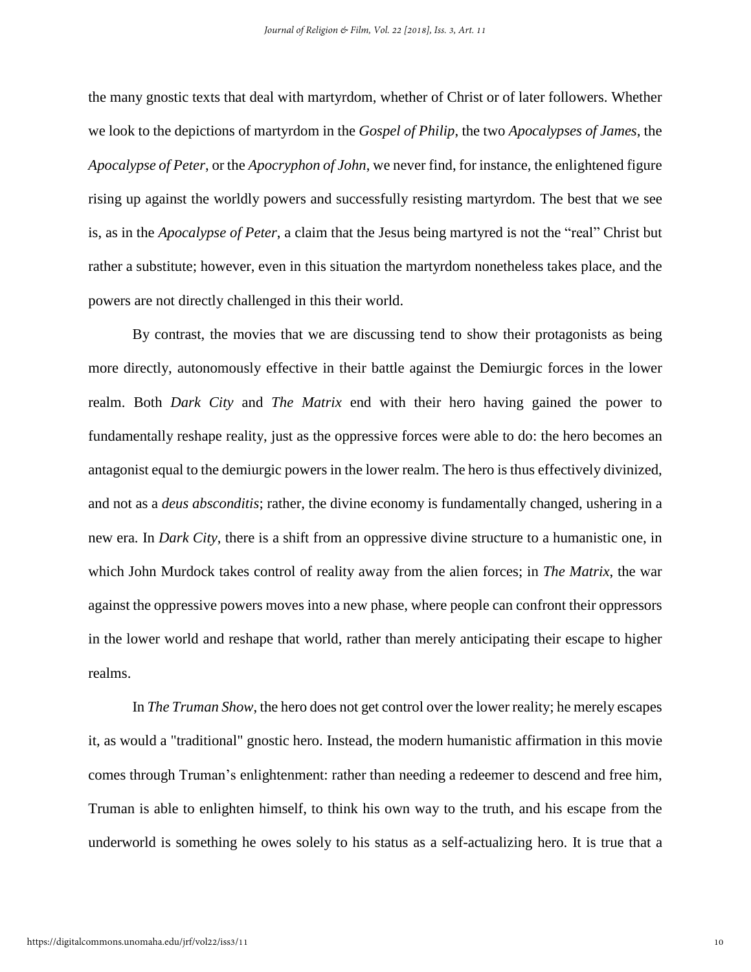the many gnostic texts that deal with martyrdom, whether of Christ or of later followers. Whether we look to the depictions of martyrdom in the *Gospel of Philip*, the two *Apocalypses of James*, the *Apocalypse of Peter*, or the *Apocryphon of John*, we never find, for instance, the enlightened figure rising up against the worldly powers and successfully resisting martyrdom. The best that we see is, as in the *Apocalypse of Peter*, a claim that the Jesus being martyred is not the "real" Christ but rather a substitute; however, even in this situation the martyrdom nonetheless takes place, and the powers are not directly challenged in this their world.

By contrast, the movies that we are discussing tend to show their protagonists as being more directly, autonomously effective in their battle against the Demiurgic forces in the lower realm. Both *Dark City* and *The Matrix* end with their hero having gained the power to fundamentally reshape reality, just as the oppressive forces were able to do: the hero becomes an antagonist equal to the demiurgic powers in the lower realm. The hero is thus effectively divinized, and not as a *deus absconditis*; rather, the divine economy is fundamentally changed, ushering in a new era. In *Dark City*, there is a shift from an oppressive divine structure to a humanistic one, in which John Murdock takes control of reality away from the alien forces; in *The Matrix*, the war against the oppressive powers moves into a new phase, where people can confront their oppressors in the lower world and reshape that world, rather than merely anticipating their escape to higher realms.

In *The Truman Show*, the hero does not get control over the lower reality; he merely escapes it, as would a "traditional" gnostic hero. Instead, the modern humanistic affirmation in this movie comes through Truman's enlightenment: rather than needing a redeemer to descend and free him, Truman is able to enlighten himself, to think his own way to the truth, and his escape from the underworld is something he owes solely to his status as a self-actualizing hero. It is true that a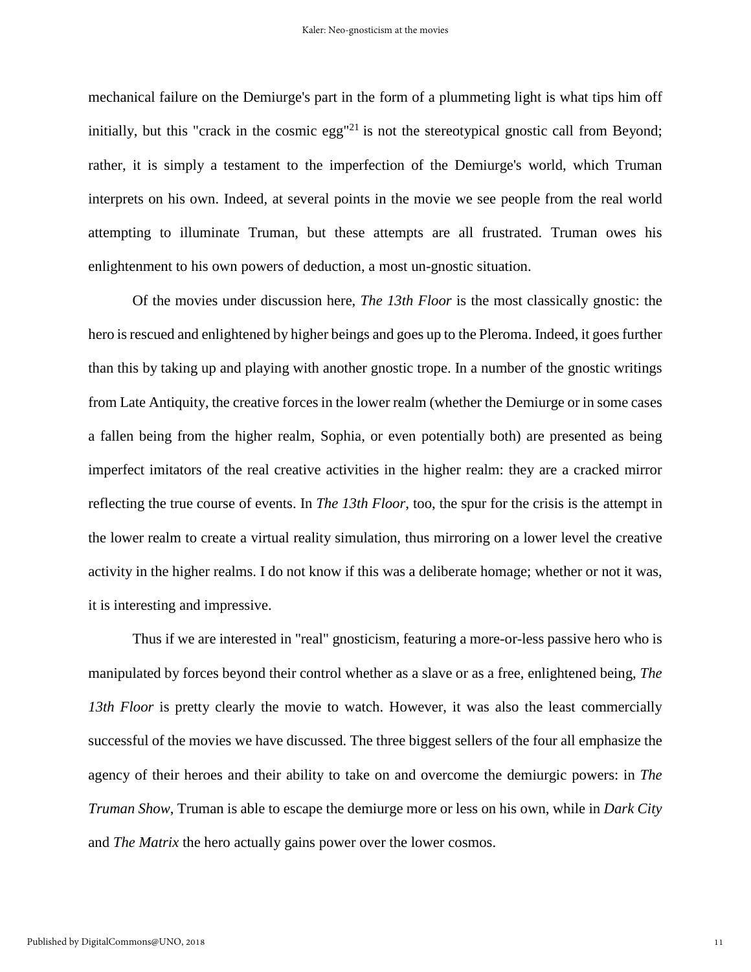mechanical failure on the Demiurge's part in the form of a plummeting light is what tips him off initially, but this "crack in the cosmic egg"<sup>21</sup> is not the stereotypical gnostic call from Beyond; rather, it is simply a testament to the imperfection of the Demiurge's world, which Truman interprets on his own. Indeed, at several points in the movie we see people from the real world attempting to illuminate Truman, but these attempts are all frustrated. Truman owes his enlightenment to his own powers of deduction, a most un-gnostic situation.

Of the movies under discussion here, *The 13th Floor* is the most classically gnostic: the hero is rescued and enlightened by higher beings and goes up to the Pleroma. Indeed, it goes further than this by taking up and playing with another gnostic trope. In a number of the gnostic writings from Late Antiquity, the creative forces in the lower realm (whether the Demiurge or in some cases a fallen being from the higher realm, Sophia, or even potentially both) are presented as being imperfect imitators of the real creative activities in the higher realm: they are a cracked mirror reflecting the true course of events. In *The 13th Floor*, too, the spur for the crisis is the attempt in the lower realm to create a virtual reality simulation, thus mirroring on a lower level the creative activity in the higher realms. I do not know if this was a deliberate homage; whether or not it was, it is interesting and impressive.

Thus if we are interested in "real" gnosticism, featuring a more-or-less passive hero who is manipulated by forces beyond their control whether as a slave or as a free, enlightened being, *The 13th Floor* is pretty clearly the movie to watch. However, it was also the least commercially successful of the movies we have discussed. The three biggest sellers of the four all emphasize the agency of their heroes and their ability to take on and overcome the demiurgic powers: in *The Truman Show*, Truman is able to escape the demiurge more or less on his own, while in *Dark City* and *The Matrix* the hero actually gains power over the lower cosmos.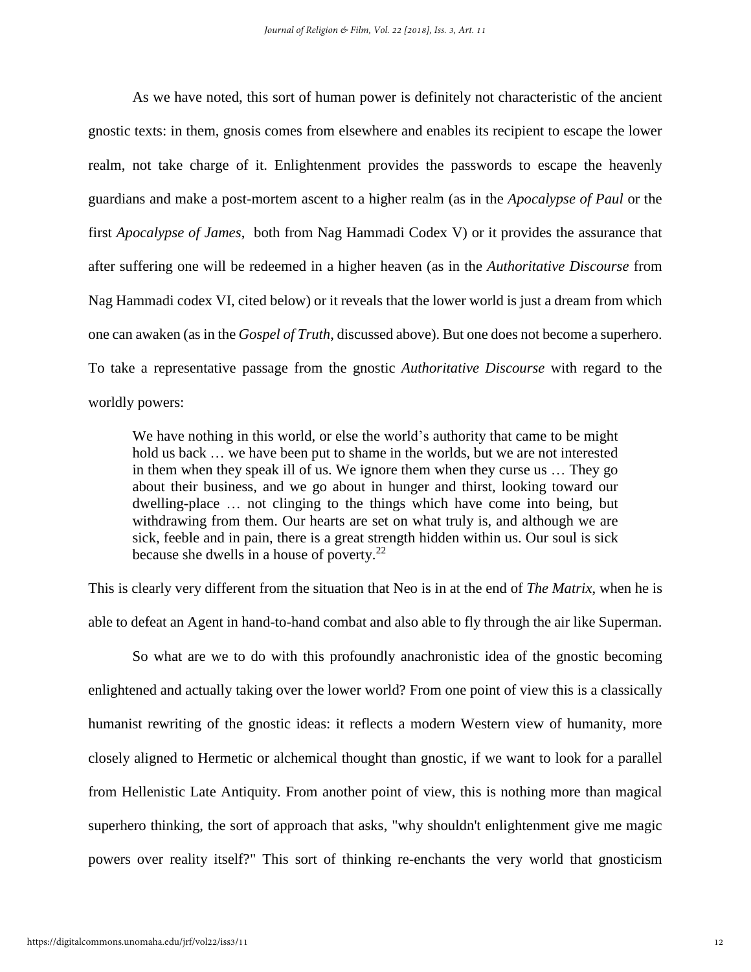As we have noted, this sort of human power is definitely not characteristic of the ancient gnostic texts: in them, gnosis comes from elsewhere and enables its recipient to escape the lower realm, not take charge of it. Enlightenment provides the passwords to escape the heavenly guardians and make a post-mortem ascent to a higher realm (as in the *Apocalypse of Paul* or the first *Apocalypse of James*, both from Nag Hammadi Codex V) or it provides the assurance that after suffering one will be redeemed in a higher heaven (as in the *Authoritative Discourse* from Nag Hammadi codex VI, cited below) or it reveals that the lower world is just a dream from which one can awaken (as in the *Gospel of Truth*, discussed above). But one does not become a superhero. To take a representative passage from the gnostic *Authoritative Discourse* with regard to the worldly powers:

We have nothing in this world, or else the world's authority that came to be might hold us back … we have been put to shame in the worlds, but we are not interested in them when they speak ill of us. We ignore them when they curse us … They go about their business, and we go about in hunger and thirst, looking toward our dwelling-place … not clinging to the things which have come into being, but withdrawing from them. Our hearts are set on what truly is, and although we are sick, feeble and in pain, there is a great strength hidden within us. Our soul is sick because she dwells in a house of poverty. $22$ 

This is clearly very different from the situation that Neo is in at the end of *The Matrix*, when he is able to defeat an Agent in hand-to-hand combat and also able to fly through the air like Superman.

So what are we to do with this profoundly anachronistic idea of the gnostic becoming enlightened and actually taking over the lower world? From one point of view this is a classically humanist rewriting of the gnostic ideas: it reflects a modern Western view of humanity, more closely aligned to Hermetic or alchemical thought than gnostic, if we want to look for a parallel from Hellenistic Late Antiquity. From another point of view, this is nothing more than magical superhero thinking, the sort of approach that asks, "why shouldn't enlightenment give me magic powers over reality itself?" This sort of thinking re-enchants the very world that gnosticism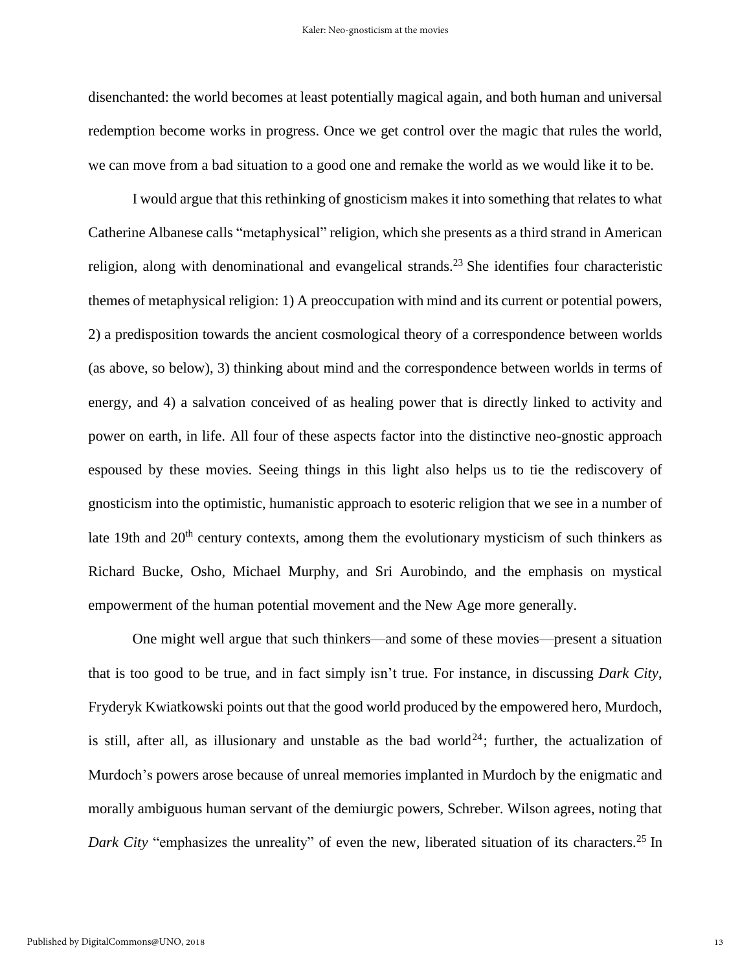disenchanted: the world becomes at least potentially magical again, and both human and universal redemption become works in progress. Once we get control over the magic that rules the world, we can move from a bad situation to a good one and remake the world as we would like it to be.

I would argue that this rethinking of gnosticism makes it into something that relates to what Catherine Albanese calls "metaphysical" religion, which she presents as a third strand in American religion, along with denominational and evangelical strands.<sup>23</sup> She identifies four characteristic themes of metaphysical religion: 1) A preoccupation with mind and its current or potential powers, 2) a predisposition towards the ancient cosmological theory of a correspondence between worlds (as above, so below), 3) thinking about mind and the correspondence between worlds in terms of energy, and 4) a salvation conceived of as healing power that is directly linked to activity and power on earth, in life. All four of these aspects factor into the distinctive neo-gnostic approach espoused by these movies. Seeing things in this light also helps us to tie the rediscovery of gnosticism into the optimistic, humanistic approach to esoteric religion that we see in a number of late 19th and  $20<sup>th</sup>$  century contexts, among them the evolutionary mysticism of such thinkers as Richard Bucke, Osho, Michael Murphy, and Sri Aurobindo, and the emphasis on mystical empowerment of the human potential movement and the New Age more generally.

One might well argue that such thinkers—and some of these movies—present a situation that is too good to be true, and in fact simply isn't true. For instance, in discussing *Dark City*, Fryderyk Kwiatkowski points out that the good world produced by the empowered hero, Murdoch, is still, after all, as illusionary and unstable as the bad world<sup>24</sup>; further, the actualization of Murdoch's powers arose because of unreal memories implanted in Murdoch by the enigmatic and morally ambiguous human servant of the demiurgic powers, Schreber. Wilson agrees, noting that *Dark City* "emphasizes the unreality" of even the new, liberated situation of its characters.<sup>25</sup> In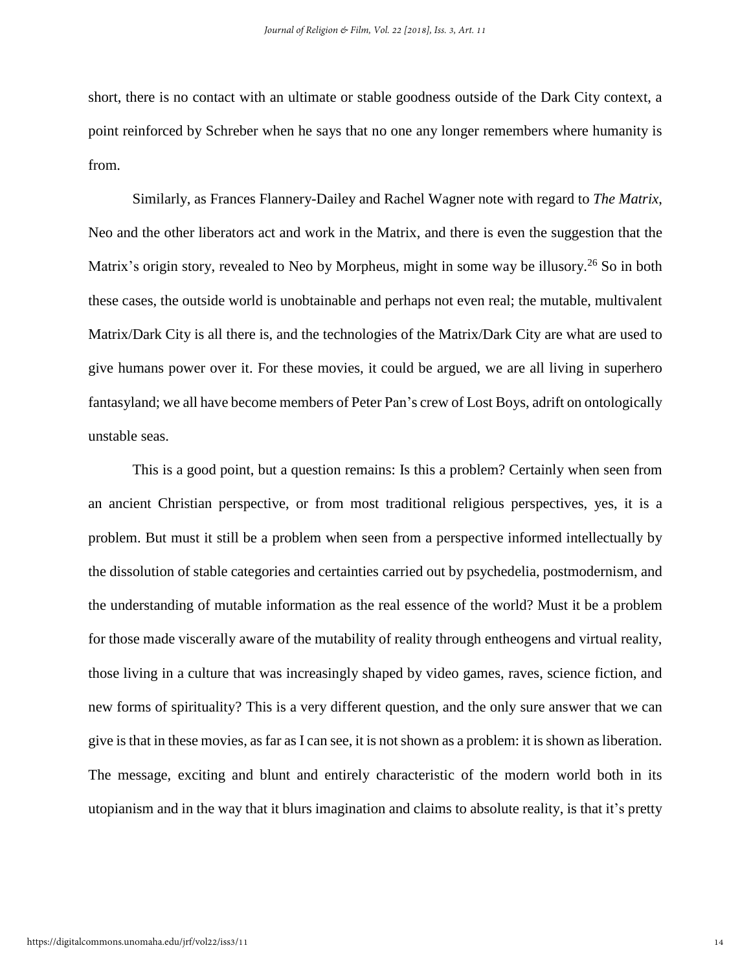short, there is no contact with an ultimate or stable goodness outside of the Dark City context, a point reinforced by Schreber when he says that no one any longer remembers where humanity is from.

Similarly, as Frances Flannery-Dailey and Rachel Wagner note with regard to *The Matrix*, Neo and the other liberators act and work in the Matrix, and there is even the suggestion that the Matrix's origin story, revealed to Neo by Morpheus, might in some way be illusory.<sup>26</sup> So in both these cases, the outside world is unobtainable and perhaps not even real; the mutable, multivalent Matrix/Dark City is all there is, and the technologies of the Matrix/Dark City are what are used to give humans power over it. For these movies, it could be argued, we are all living in superhero fantasyland; we all have become members of Peter Pan's crew of Lost Boys, adrift on ontologically unstable seas.

This is a good point, but a question remains: Is this a problem? Certainly when seen from an ancient Christian perspective, or from most traditional religious perspectives, yes, it is a problem. But must it still be a problem when seen from a perspective informed intellectually by the dissolution of stable categories and certainties carried out by psychedelia, postmodernism, and the understanding of mutable information as the real essence of the world? Must it be a problem for those made viscerally aware of the mutability of reality through entheogens and virtual reality, those living in a culture that was increasingly shaped by video games, raves, science fiction, and new forms of spirituality? This is a very different question, and the only sure answer that we can give isthat in these movies, asfar as I can see, it is not shown as a problem: it isshown asliberation. The message, exciting and blunt and entirely characteristic of the modern world both in its utopianism and in the way that it blurs imagination and claims to absolute reality, is that it's pretty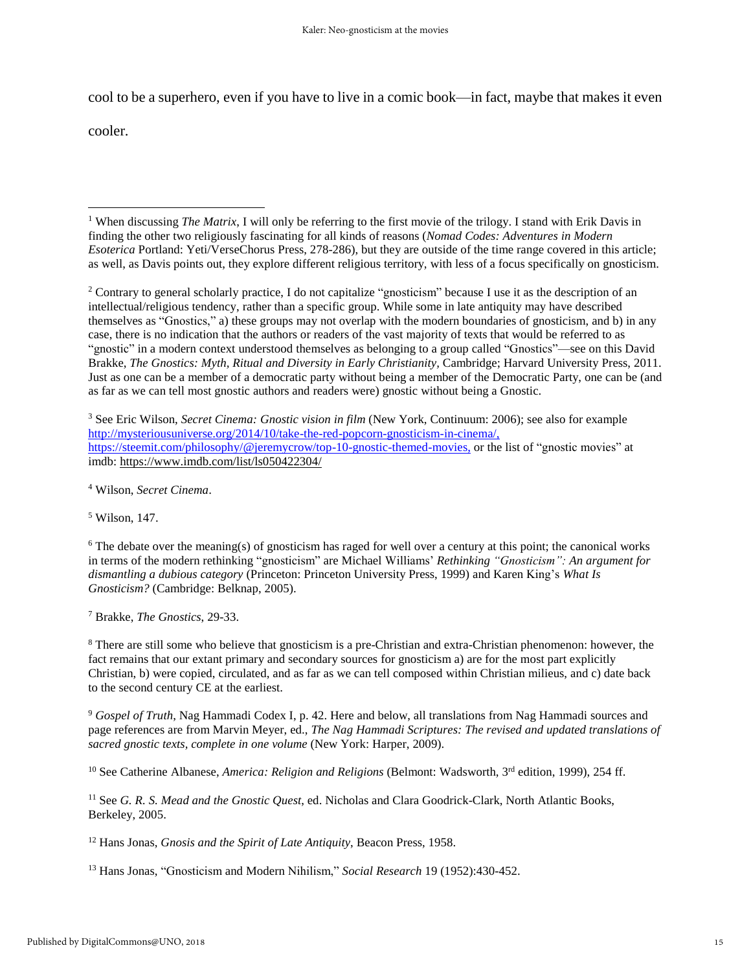cool to be a superhero, even if you have to live in a comic book—in fact, maybe that makes it even

cooler.

 $\overline{a}$ 

<sup>2</sup> Contrary to general scholarly practice, I do not capitalize "gnosticism" because I use it as the description of an intellectual/religious tendency, rather than a specific group. While some in late antiquity may have described themselves as "Gnostics," a) these groups may not overlap with the modern boundaries of gnosticism, and b) in any case, there is no indication that the authors or readers of the vast majority of texts that would be referred to as "gnostic" in a modern context understood themselves as belonging to a group called "Gnostics"—see on this David Brakke, *The Gnostics: Myth, Ritual and Diversity in Early Christianity,* Cambridge; Harvard University Press, 2011. Just as one can be a member of a democratic party without being a member of the Democratic Party, one can be (and as far as we can tell most gnostic authors and readers were) gnostic without being a Gnostic.

<sup>3</sup> See Eric Wilson, *Secret Cinema: Gnostic vision in film* (New York, Continuum: 2006); see also for example [http://mysteriousuniverse.org/2014/10/take-the-red-popcorn-gnosticism-in-cinema/,](http://mysteriousuniverse.org/2014/10/take-the-red-popcorn-gnosticism-in-cinema/) https://steemit.com/philosophy/@jeremycrow/top-10-gnostic-themed-movies, or the list of "gnostic movies" at imdb: <https://www.imdb.com/list/ls050422304/>

<sup>4</sup> Wilson, *Secret Cinema*.

<sup>5</sup> Wilson, 147.

<sup>6</sup> The debate over the meaning(s) of gnosticism has raged for well over a century at this point; the canonical works in terms of the modern rethinking "gnosticism" are Michael Williams' *Rethinking "Gnosticism": An argument for dismantling a dubious category* (Princeton: Princeton University Press, 1999) and Karen King's *What Is Gnosticism?* (Cambridge: Belknap, 2005).

<sup>7</sup> Brakke, *The Gnostics*, 29-33.

<sup>8</sup> There are still some who believe that gnosticism is a pre-Christian and extra-Christian phenomenon: however, the fact remains that our extant primary and secondary sources for gnosticism a) are for the most part explicitly Christian, b) were copied, circulated, and as far as we can tell composed within Christian milieus, and c) date back to the second century CE at the earliest.

<sup>9</sup> *Gospel of Truth*, Nag Hammadi Codex I, p. 42. Here and below, all translations from Nag Hammadi sources and page references are from Marvin Meyer, ed., *The Nag Hammadi Scriptures: The revised and updated translations of sacred gnostic texts, complete in one volume* (New York: Harper, 2009).

<sup>10</sup> See Catherine Albanese, *America: Religion and Religions* (Belmont: Wadsworth, 3 rd edition, 1999), 254 ff.

<sup>11</sup> See *G. R. S. Mead and the Gnostic Quest*, ed. Nicholas and Clara Goodrick-Clark, North Atlantic Books, Berkeley, 2005.

<sup>12</sup> Hans Jonas, *Gnosis and the Spirit of Late Antiquity*, Beacon Press, 1958.

<sup>13</sup> Hans Jonas, "Gnosticism and Modern Nihilism," *Social Research* 19 (1952):430-452.

<sup>&</sup>lt;sup>1</sup> When discussing *The Matrix*, I will only be referring to the first movie of the trilogy. I stand with Erik Davis in finding the other two religiously fascinating for all kinds of reasons (*Nomad Codes: Adventures in Modern Esoterica* Portland: Yeti/VerseChorus Press, 278-286), but they are outside of the time range covered in this article; as well, as Davis points out, they explore different religious territory, with less of a focus specifically on gnosticism.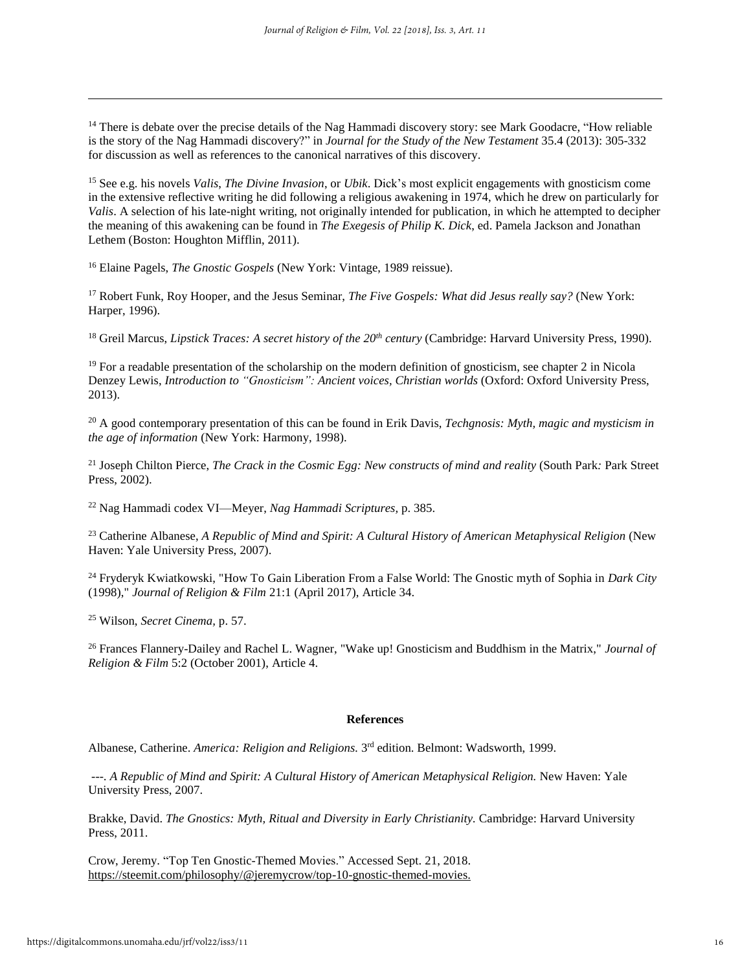<sup>14</sup> There is debate over the precise details of the Nag Hammadi discovery story: see Mark Goodacre, "How reliable" is the story of the Nag Hammadi discovery?" in *Journal for the Study of the New Testament* 35.4 (2013): 305-332 for discussion as well as references to the canonical narratives of this discovery.

<sup>15</sup> See e.g. his novels *Valis*, *The Divine Invasion*, or *Ubik*. Dick's most explicit engagements with gnosticism come in the extensive reflective writing he did following a religious awakening in 1974, which he drew on particularly for *Valis*. A selection of his late-night writing, not originally intended for publication, in which he attempted to decipher the meaning of this awakening can be found in *The Exegesis of Philip K. Dick*, ed. Pamela Jackson and Jonathan Lethem (Boston: Houghton Mifflin, 2011).

<sup>16</sup> Elaine Pagels, *The Gnostic Gospels* (New York: Vintage, 1989 reissue).

<sup>17</sup> Robert Funk, Roy Hooper, and the Jesus Seminar, *The Five Gospels: What did Jesus really say?* (New York: Harper, 1996).

<sup>18</sup> Greil Marcus, *Lipstick Traces: A secret history of the 20th century* (Cambridge: Harvard University Press, 1990).

 $19$  For a readable presentation of the scholarship on the modern definition of gnosticism, see chapter 2 in Nicola Denzey Lewis, *Introduction to "Gnosticism": Ancient voices, Christian worlds* (Oxford: Oxford University Press, 2013).

<sup>20</sup> A good contemporary presentation of this can be found in Erik Davis, *Techgnosis: Myth, magic and mysticism in the age of information* (New York: Harmony, 1998).

<sup>21</sup> Joseph Chilton Pierce, *The Crack in the Cosmic Egg: New constructs of mind and reality* (South Park*:* Park Street Press, 2002).

<sup>22</sup> Nag Hammadi codex VI—Meyer, *Nag Hammadi Scriptures,* p. 385.

<sup>23</sup> Catherine Albanese, *A Republic of Mind and Spirit: A Cultural History of American Metaphysical Religion* (New Haven: Yale University Press, 2007).

<sup>24</sup> Fryderyk Kwiatkowski, "How To Gain Liberation From a False World: The Gnostic myth of Sophia in *Dark City* (1998)," *Journal of Religion & Film* 21:1 (April 2017), Article 34.

<sup>25</sup> Wilson, *Secret Cinema,* p. 57.

 $\overline{a}$ 

<sup>26</sup> Frances Flannery-Dailey and Rachel L. Wagner, "Wake up! Gnosticism and Buddhism in the Matrix," *Journal of Religion & Film* 5:2 (October 2001), Article 4.

#### **References**

Albanese, Catherine. *America: Religion and Religions.* 3 rd edition. Belmont: Wadsworth, 1999.

*---. A Republic of Mind and Spirit: A Cultural History of American Metaphysical Religion.* New Haven: Yale University Press, 2007.

Brakke, David. *The Gnostics: Myth, Ritual and Diversity in Early Christianity.* Cambridge: Harvard University Press, 2011.

Crow, Jeremy. "Top Ten Gnostic-Themed Movies." Accessed Sept. 21, 2018. [https://steemit.com/philosophy/@jeremycrow/top-10-gnostic-themed-movies.](https://steemit.com/philosophy/@jeremycrow/top-10-gnostic-themed-movies)